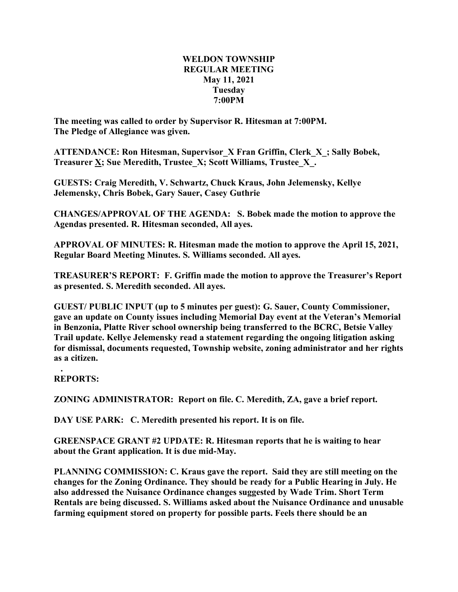## **WELDON TOWNSHIP REGULAR MEETING May 11, 2021 Tuesday 7:00PM**

**The meeting was called to order by Supervisor R. Hitesman at 7:00PM. The Pledge of Allegiance was given.**

**ATTENDANCE: Ron Hitesman, Supervisor\_X Fran Griffin, Clerk\_X\_; Sally Bobek, Treasurer X; Sue Meredith, Trustee\_X; Scott Williams, Trustee\_X\_.**

**GUESTS: Craig Meredith, V. Schwartz, Chuck Kraus, John Jelemensky, Kellye Jelemensky, Chris Bobek, Gary Sauer, Casey Guthrie**

**CHANGES/APPROVAL OF THE AGENDA: S. Bobek made the motion to approve the Agendas presented. R. Hitesman seconded, All ayes.**

**APPROVAL OF MINUTES: R. Hitesman made the motion to approve the April 15, 2021, Regular Board Meeting Minutes. S. Williams seconded. All ayes.**

**TREASURER'S REPORT: F. Griffin made the motion to approve the Treasurer's Report as presented. S. Meredith seconded. All ayes.**

**GUEST/ PUBLIC INPUT (up to 5 minutes per guest): G. Sauer, County Commissioner, gave an update on County issues including Memorial Day event at the Veteran's Memorial in Benzonia, Platte River school ownership being transferred to the BCRC, Betsie Valley Trail update. Kellye Jelemensky read a statement regarding the ongoing litigation asking for dismissal, documents requested, Township website, zoning administrator and her rights as a citizen.**

**. REPORTS:**

**ZONING ADMINISTRATOR: Report on file. C. Meredith, ZA, gave a brief report.**

**DAY USE PARK: C. Meredith presented his report. It is on file.**

**GREENSPACE GRANT #2 UPDATE: R. Hitesman reports that he is waiting to hear about the Grant application. It is due mid-May.**

**PLANNING COMMISSION: C. Kraus gave the report. Said they are still meeting on the changes for the Zoning Ordinance. They should be ready for a Public Hearing in July. He also addressed the Nuisance Ordinance changes suggested by Wade Trim. Short Term Rentals are being discussed. S. Williams asked about the Nuisance Ordinance and unusable farming equipment stored on property for possible parts. Feels there should be an**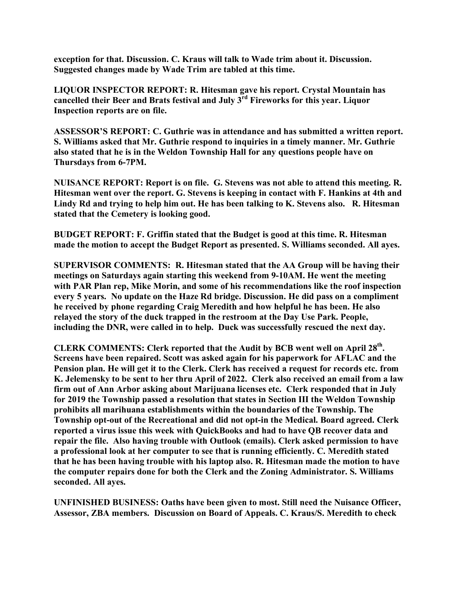**exception for that. Discussion. C. Kraus will talk to Wade trim about it. Discussion. Suggested changes made by Wade Trim are tabled at this time.**

**LIQUOR INSPECTOR REPORT: R. Hitesman gave his report. Crystal Mountain has cancelled their Beer and Brats festival and July 3rd Fireworks for this year. Liquor Inspection reports are on file.**

**ASSESSOR'S REPORT: C. Guthrie was in attendance and has submitted a written report. S. Williams asked that Mr. Guthrie respond to inquiries in a timely manner. Mr. Guthrie also stated that he is in the Weldon Township Hall for any questions people have on Thursdays from 6-7PM.**

**NUISANCE REPORT: Report is on file. G. Stevens was not able to attend this meeting. R. Hitesman went over the report. G. Stevens is keeping in contact with F. Hankins at 4th and Lindy Rd and trying to help him out. He has been talking to K. Stevens also. R. Hitesman stated that the Cemetery is looking good.**

**BUDGET REPORT: F. Griffin stated that the Budget is good at this time. R. Hitesman made the motion to accept the Budget Report as presented. S. Williams seconded. All ayes.**

**SUPERVISOR COMMENTS: R. Hitesman stated that the AA Group will be having their meetings on Saturdays again starting this weekend from 9-10AM. He went the meeting with PAR Plan rep, Mike Morin, and some of his recommendations like the roof inspection every 5 years. No update on the Haze Rd bridge. Discussion. He did pass on a compliment he received by phone regarding Craig Meredith and how helpful he has been. He also relayed the story of the duck trapped in the restroom at the Day Use Park. People, including the DNR, were called in to help. Duck was successfully rescued the next day.**

**CLERK COMMENTS: Clerk reported that the Audit by BCB went well on April 28th. Screens have been repaired. Scott was asked again for his paperwork for AFLAC and the Pension plan. He will get it to the Clerk. Clerk has received a request for records etc. from K. Jelemensky to be sent to her thru April of 2022. Clerk also received an email from a law firm out of Ann Arbor asking about Marijuana licenses etc. Clerk responded that in July for 2019 the Township passed a resolution that states in Section III the Weldon Township prohibits all marihuana establishments within the boundaries of the Township. The Township opt-out of the Recreational and did not opt-in the Medical. Board agreed. Clerk reported a virus issue this week with QuickBooks and had to have QB recover data and repair the file. Also having trouble with Outlook (emails). Clerk asked permission to have a professional look at her computer to see that is running efficiently. C. Meredith stated that he has been having trouble with his laptop also. R. Hitesman made the motion to have the computer repairs done for both the Clerk and the Zoning Administrator. S. Williams seconded. All ayes.**

**UNFINISHED BUSINESS: Oaths have been given to most. Still need the Nuisance Officer, Assessor, ZBA members. Discussion on Board of Appeals. C. Kraus/S. Meredith to check**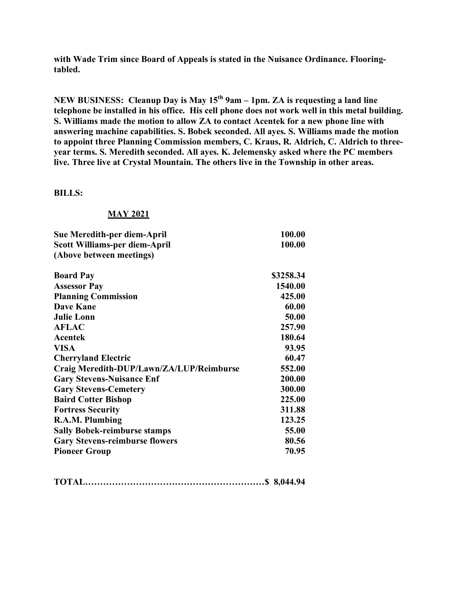**with Wade Trim since Board of Appeals is stated in the Nuisance Ordinance. Flooringtabled.**

**NEW BUSINESS: Cleanup Day is May 15th 9am – 1pm. ZA is requesting a land line telephone be installed in his office. His cell phone does not work well in this metal building. S. Williams made the motion to allow ZA to contact Acentek for a new phone line with answering machine capabilities. S. Bobek seconded. All ayes. S. Williams made the motion to appoint three Planning Commission members, C. Kraus, R. Aldrich, C. Aldrich to threeyear terms. S. Meredith seconded. All ayes. K. Jelemensky asked where the PC members live. Three live at Crystal Mountain. The others live in the Township in other areas.**

## **BILLS:**

## **MAY 2021**

| Sue Meredith-per diem-April              | 100.00    |
|------------------------------------------|-----------|
| <b>Scott Williams-per diem-April</b>     | 100.00    |
| (Above between meetings)                 |           |
| <b>Board Pay</b>                         | \$3258.34 |
| <b>Assessor Pay</b>                      | 1540.00   |
| <b>Planning Commission</b>               | 425.00    |
| Dave Kane                                | 60.00     |
| <b>Julie Lonn</b>                        | 50.00     |
| <b>AFLAC</b>                             | 257.90    |
| <b>Acentek</b>                           | 180.64    |
| <b>VISA</b>                              | 93.95     |
| <b>Cherryland Electric</b>               | 60.47     |
| Craig Meredith-DUP/Lawn/ZA/LUP/Reimburse | 552.00    |
| <b>Gary Stevens-Nuisance Enf</b>         | 200.00    |
| <b>Gary Stevens-Cemetery</b>             | 300.00    |
| <b>Baird Cotter Bishop</b>               | 225.00    |
| <b>Fortress Security</b>                 | 311.88    |
| R.A.M. Plumbing                          | 123.25    |
| <b>Sally Bobek-reimburse stamps</b>      | 55.00     |
| <b>Gary Stevens-reimburse flowers</b>    | 80.56     |
| <b>Pioneer Group</b>                     | 70.95     |

|--|--|